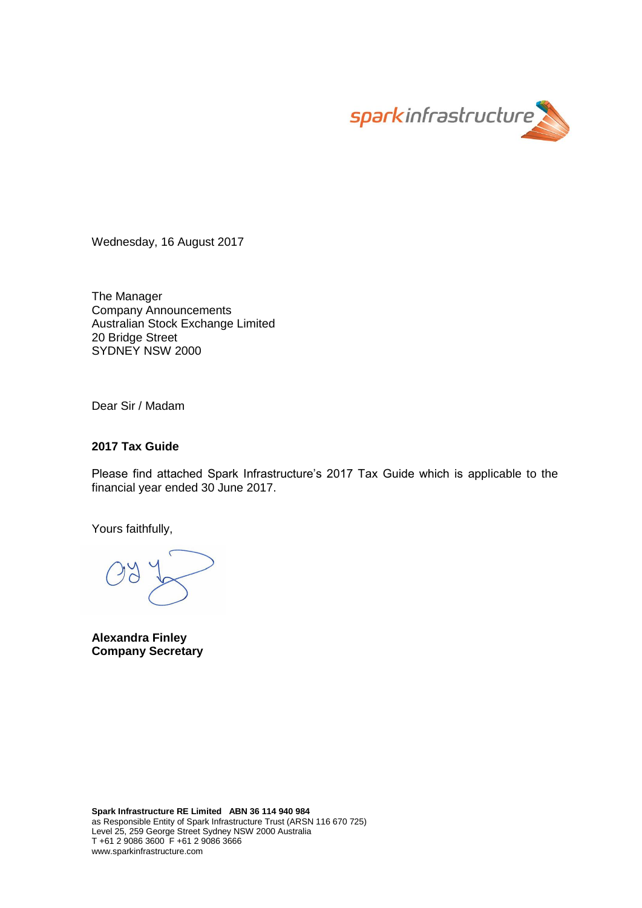

Wednesday, 16 August 2017

The Manager Company Announcements Australian Stock Exchange Limited 20 Bridge Street SYDNEY NSW 2000

Dear Sir / Madam

### **2017 Tax Guide**

Please find attached Spark Infrastructure's 2017 Tax Guide which is applicable to the financial year ended 30 June 2017.

Yours faithfully,

**Alexandra Finley Company Secretary**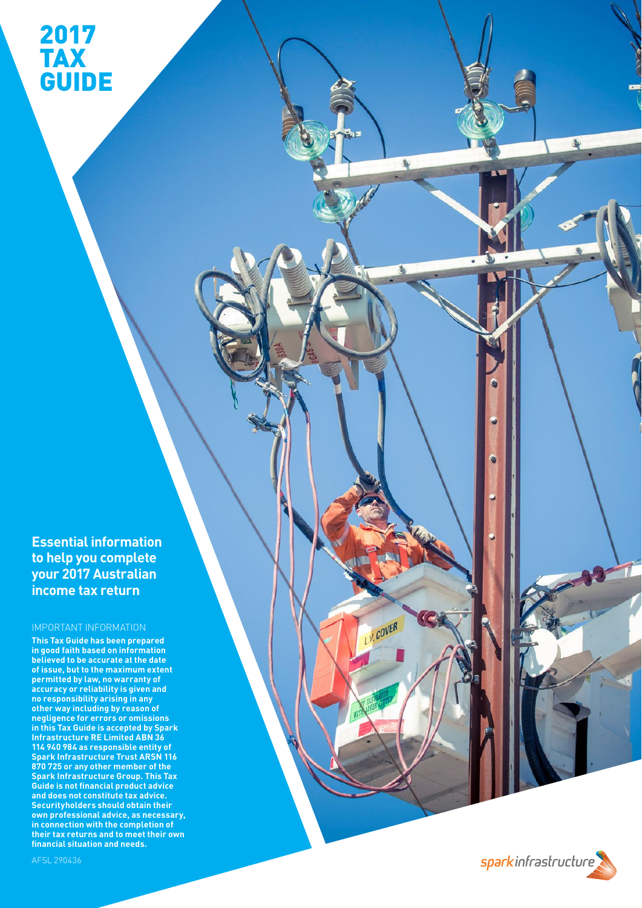2017

TAX

GUIDE

**Essential information to help you complete your 2017 Australian income tax return**

### IMPORTANT INFORMATION

**This Tax Guide has been prepared in good faith based on information believed to be accurate at the date of issue, but to the maximum extent permitted by law, no warranty of accuracy or reliability is given and no responsibility arising in any other way including by reason of negligence for errors or omissions in this Tax Guide is accepted by Spark Infrastructure RE Limited ABN 36 114 940 984 as responsible entity of Spark Infrastructure Trust ARSN 116 870 725 or any other member of the Spark Infrastructure Group. This Tax Guide is not financial product advice and does not constitute tax advice. Securityholders should obtain their own professional advice, as necessary, in connection with the completion of their tax returns and to meet their own financial situation and needs.** 

sparkinfrastructure

**A** 

L.V. COVER

٧

a

AFSL 290436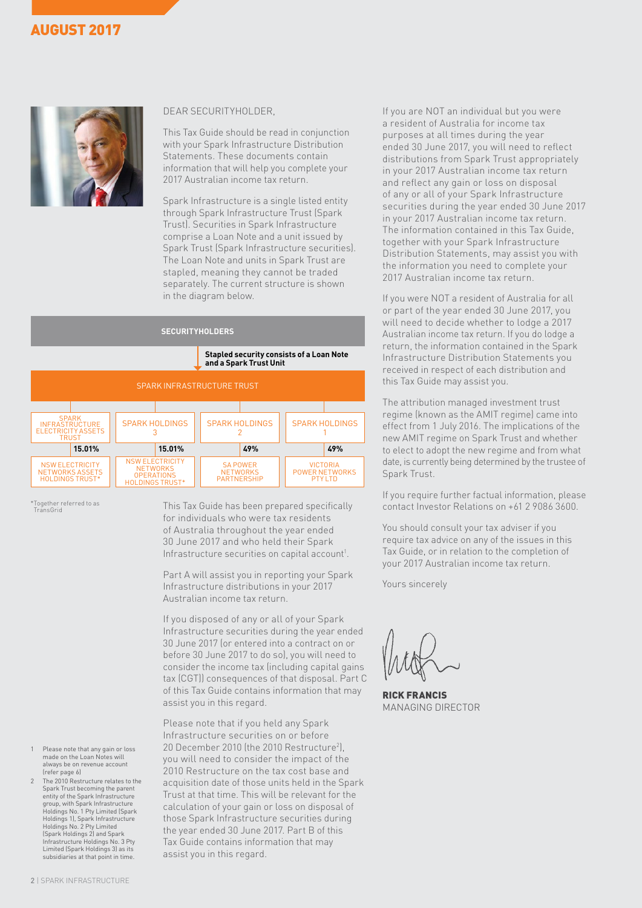## AUGUST 2017



### DEAR SECURITYHOLDER,

This Tax Guide should be read in conjunction with your Spark Infrastructure Distribution Statements. These documents contain information that will help you complete your 2017 Australian income tax return.

Spark Infrastructure is a single listed entity through Spark Infrastructure Trust (Spark Trust). Securities in Spark Infrastructure comprise a Loan Note and a unit issued by Spark Trust (Spark Infrastructure securities). The Loan Note and units in Spark Trust are stapled, meaning they cannot be traded separately. The current structure is shown in the diagram below.

### **SECURITYHOLDERS**

**Stapled security consists of a Loan Note and a Spark Trust Unit**

| SPARK INFRASTRUCTURE TRUST                                                  |                                                                                          |                                                                                                                        |                       |  |  |  |
|-----------------------------------------------------------------------------|------------------------------------------------------------------------------------------|------------------------------------------------------------------------------------------------------------------------|-----------------------|--|--|--|
|                                                                             |                                                                                          |                                                                                                                        |                       |  |  |  |
| <b>SPARK</b><br><b>INFRASTRUCTURE</b><br>ELECTRICITY ASSETS<br><b>TRUST</b> | <b>SPARK HOLDINGS</b>                                                                    | <b>SPARK HOLDINGS</b>                                                                                                  | <b>SPARK HOLDINGS</b> |  |  |  |
| 15.01%                                                                      | 15.01%                                                                                   | 49%                                                                                                                    | 49%                   |  |  |  |
| <b>NSW ELECTRICITY</b><br>NETWORKS ASSETS<br><b>HOLDINGS TRUST*</b>         | <b>NSW ELECTRICITY</b><br><b>NETWORKS</b><br><b>OPERATIONS</b><br><b>HOLDINGS TRUST*</b> | <b>SA POWER</b><br><b>VICTORIA</b><br><b>NETWORKS</b><br><b>POWER NETWORKS</b><br><b>PARTNERSHIP</b><br><b>PTY LTD</b> |                       |  |  |  |

\*Together referred to as TransGrid

This Tax Guide has been prepared specifically for individuals who were tax residents of Australia throughout the year ended 30 June 2017 and who held their Spark Infrastructure securities on capital account<sup>1</sup>.

Part A will assist you in reporting your Spark Infrastructure distributions in your 2017 Australian income tax return.

If you disposed of any or all of your Spark Infrastructure securities during the year ended 30 June 2017 (or entered into a contract on or before 30 June 2017 to do so), you will need to consider the income tax (including capital gains tax (CGT)) consequences of that disposal. Part C of this Tax Guide contains information that may assist you in this regard.

Please note that if you held any Spark Infrastructure securities on or before 20 December 2010 (the 2010 Restructure2 ), you will need to consider the impact of the 2010 Restructure on the tax cost base and acquisition date of those units held in the Spark Trust at that time. This will be relevant for the calculation of your gain or loss on disposal of those Spark Infrastructure securities during the year ended 30 June 2017. Part B of this Tax Guide contains information that may assist you in this regard.

If you are NOT an individual but you were a resident of Australia for income tax purposes at all times during the year ended 30 June 2017, you will need to reflect distributions from Spark Trust appropriately in your 2017 Australian income tax return and reflect any gain or loss on disposal of any or all of your Spark Infrastructure securities during the year ended 30 June 2017 in your 2017 Australian income tax return. The information contained in this Tax Guide, together with your Spark Infrastructure Distribution Statements, may assist you with the information you need to complete your 2017 Australian income tax return.

If you were NOT a resident of Australia for all or part of the year ended 30 June 2017, you will need to decide whether to lodge a 2017 Australian income tax return. If you do lodge a return, the information contained in the Spark Infrastructure Distribution Statements you received in respect of each distribution and this Tax Guide may assist you.

The attribution managed investment trust regime (known as the AMIT regime) came into effect from 1 July 2016. The implications of the new AMIT regime on Spark Trust and whether to elect to adopt the new regime and from what date, is currently being determined by the trustee of Spark Trust.

If you require further factual information, please contact Investor Relations on +61 2 9086 3600.

You should consult your tax adviser if you require tax advice on any of the issues in this Tax Guide, or in relation to the completion of your 2017 Australian income tax return.

Yours sincerely

RICK FRANCIS MANAGING DIRECTOR

- 1 Please note that any gain or loss made on the Loan Notes will always be on revenue account (refer page 6)
- The 2010 Restructure relates to the Spark Trust becoming the parent entity of the Spark Infrastructure group, with Spark Infrastructure Holdings No. 1 Pty Limited (Spark Holdings 1), Spark Infrastructure Holdings No. 2 Pty Limited (Spark Holdings 2) and Spark Infrastructure Holdings No. 3 Pty Limited (Spark Holdings 3) as its subsidiaries at that point in time.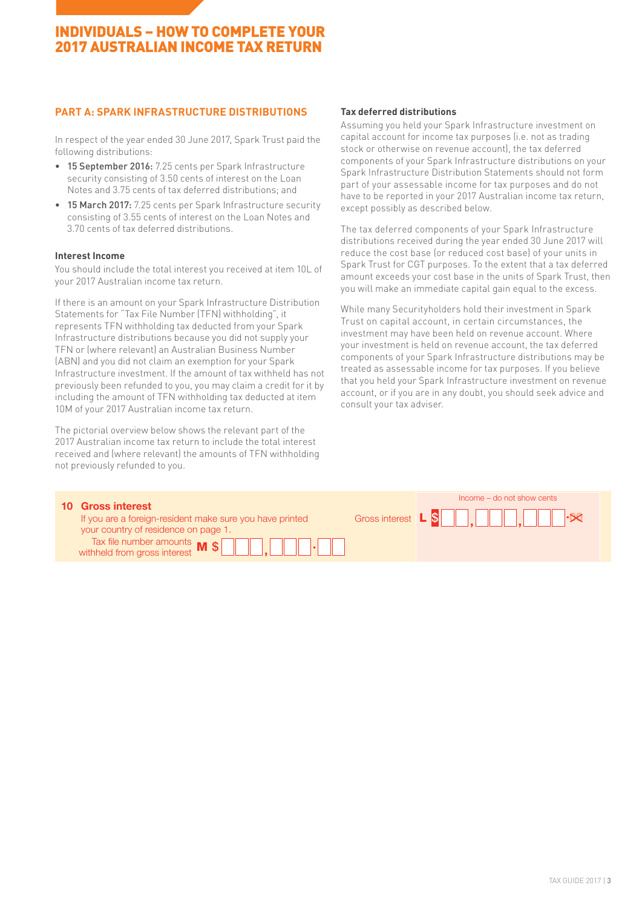## INDIVIDUALS – HOW TO COMPLETE YOUR 2017 AUSTRALIAN INCOME TAX RETURN

### **PART A: SPARK INFRASTRUCTURE DISTRIBUTIONS**

In respect of the year ended 30 June 2017, Spark Trust paid the following distributions:

- 15 September 2016: 7.25 cents per Spark Infrastructure security consisting of 3.50 cents of interest on the Loan beach that the instructure bistribution statements shou<br>part of your assessable income for tax purposes a Notes and 3.75 cents of tax deferred distributions; and in the part of your astation of the represent tax repre
- 15 March 2017: 7.25 cents per Spark Infrastructure security consisting of 3.55 cents of interest on the Loan Notes and 3.70 cents of tax deferred distributions.

### **Interest Income**

You should include the total interest you received at item 10L of your 2017 Australian income tax return.

If there is an amount on your Spark Infrastructure Distribution Statements for "Tax File Number (TFN) withholding", it represents TFN withholding tax deducted from your Spark Infrastructure distributions because you did not supply your Intrastructure distributions because you did not supply yo<br>TFN or (where relevant) an Australian Business Number (ABN) and you did not claim an exemption for your Spark Infrastructure investment. If the amount of tax withheld has not treated as assessable in the superannum superant. If the amount of tax withheld has not previously been refunded to you, you may claim a credit for it by including the amount of TFN withholding tax deducted at item 10M of your 2017 Australian income tax return. ability and the community of the community of the community of the community of the community of the community of the community of the community of the community of the community of the community of the community of the co

The pictorial overview below shows the relevant part of the 2017 Australian income tax return to include the total interest **.** received and (where relevant) the amounts of TFN withholding not previously refunded to you.

### **Tax deferred distributions**

Assuming you held your Spark Infrastructure investment on capital account for income tax purposes (i.e. not as trading stock or otherwise on revenue account), the tax deferred components of your Spark Infrastructure distributions on your Spark Infrastructure Distribution Statements should not form part of your assessable income for tax purposes and do not have to be reported in your 2017 Australian income tax return, except possibly as described below.

The tax deferred components of your Spark Infrastructure distributions received during the year ended 30 June 2017 will reduce the cost base (or reduced cost base) of your units in Spark Trust for CGT purposes. To the extent that a tax deferred amount exceeds your cost base in the units of Spark Trust, then you will make an immediate capital gain equal to the excess. يا<br>The<br>De

While many Securityholders hold their investment in Spark Trust on capital account, in certain circumstances, the investment may have been held on revenue account. Where your investment is held on revenue account, the tax deferred components of your Spark Infrastructure distributions may be treated as assessable income for tax purposes. If you believe that you held your Spark Infrastructure investment on revenue usly been refunded to you, you may claim a credit for it by any many can be a specification of the amount of TFN withholding tax deducted at item account, or if you are in any doubt, you should seek advice and ing the amou consult your tax adviser.

| <b>10 Gross interest</b><br>If you are a foreign-resident make sure you have printed<br>your country of residence on page 1.<br>Tax file number amounts $\mathbf{M}$ \$ $\Box$ , $\Box$ |  | Income – do not show cents |
|-----------------------------------------------------------------------------------------------------------------------------------------------------------------------------------------|--|----------------------------|
|-----------------------------------------------------------------------------------------------------------------------------------------------------------------------------------------|--|----------------------------|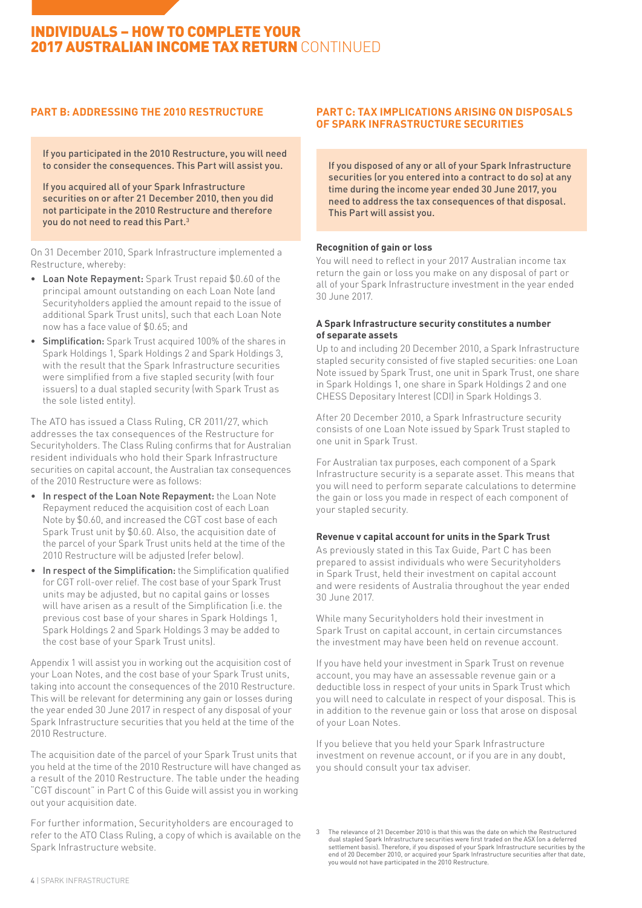# INDIVIDUALS – HOW TO COMPLETE YOUR 2017 AUSTRALIAN INCOME TAX RETURN CONTINUED

## **PART B: ADDRESSING THE 2010 RESTRUCTURE**

If you participated in the 2010 Restructure, you will need to consider the consequences. This Part will assist you.

If you acquired all of your Spark Infrastructure securities on or after 21 December 2010, then you did not participate in the 2010 Restructure and therefore you do not need to read this Part.3

On 31 December 2010, Spark Infrastructure implemented a Restructure, whereby:

- • Loan Note Repayment: Spark Trust repaid \$0.60 of the principal amount outstanding on each Loan Note (and Securityholders applied the amount repaid to the issue of additional Spark Trust units), such that each Loan Note now has a face value of \$0.65; and
- Simplification: Spark Trust acquired 100% of the shares in Spark Holdings 1, Spark Holdings 2 and Spark Holdings 3, with the result that the Spark Infrastructure securities were simplified from a five stapled security (with four issuers) to a dual stapled security (with Spark Trust as the sole listed entity).

The ATO has issued a Class Ruling, CR 2011/27, which addresses the tax consequences of the Restructure for Securityholders. The Class Ruling confirms that for Australian resident individuals who hold their Spark Infrastructure securities on capital account, the Australian tax consequences of the 2010 Restructure were as follows:

- In respect of the Loan Note Repayment: the Loan Note Repayment reduced the acquisition cost of each Loan Note by \$0.60, and increased the CGT cost base of each Spark Trust unit by \$0.60. Also, the acquisition date of the parcel of your Spark Trust units held at the time of the 2010 Restructure will be adjusted (refer below).
- In respect of the Simplification: the Simplification qualified for CGT roll-over relief. The cost base of your Spark Trust units may be adjusted, but no capital gains or losses will have arisen as a result of the Simplification (i.e. the previous cost base of your shares in Spark Holdings 1, Spark Holdings 2 and Spark Holdings 3 may be added to the cost base of your Spark Trust units).

Appendix 1 will assist you in working out the acquisition cost of your Loan Notes, and the cost base of your Spark Trust units, taking into account the consequences of the 2010 Restructure. This will be relevant for determining any gain or losses during the year ended 30 June 2017 in respect of any disposal of your Spark Infrastructure securities that you held at the time of the 2010 Restructure.

The acquisition date of the parcel of your Spark Trust units that you held at the time of the 2010 Restructure will have changed as a result of the 2010 Restructure. The table under the heading "CGT discount" in Part C of this Guide will assist you in working out your acquisition date.

For further information, Securityholders are encouraged to refer to the ATO Class Ruling, a copy of which is available on the Spark Infrastructure website.

### **PART C: TAX IMPLICATIONS ARISING ON DISPOSALS OF SPARK INFRASTRUCTURE SECURITIES**

If you disposed of any or all of your Spark Infrastructure securities (or you entered into a contract to do so) at any time during the income year ended 30 June 2017, you need to address the tax consequences of that disposal. This Part will assist you.

### **Recognition of gain or loss**

You will need to reflect in your 2017 Australian income tax return the gain or loss you make on any disposal of part or all of your Spark Infrastructure investment in the year ended 30 June 2017.

### **A Spark Infrastructure security constitutes a number of separate assets**

Up to and including 20 December 2010, a Spark Infrastructure stapled security consisted of five stapled securities: one Loan Note issued by Spark Trust, one unit in Spark Trust, one share in Spark Holdings 1, one share in Spark Holdings 2 and one CHESS Depositary Interest (CDI) in Spark Holdings 3.

After 20 December 2010, a Spark Infrastructure security consists of one Loan Note issued by Spark Trust stapled to one unit in Spark Trust.

For Australian tax purposes, each component of a Spark Infrastructure security is a separate asset. This means that you will need to perform separate calculations to determine the gain or loss you made in respect of each component of your stapled security.

### **Revenue v capital account for units in the Spark Trust**

As previously stated in this Tax Guide, Part C has been prepared to assist individuals who were Securityholders in Spark Trust, held their investment on capital account and were residents of Australia throughout the year ended 30 June 2017.

While many Securityholders hold their investment in Spark Trust on capital account, in certain circumstances the investment may have been held on revenue account.

If you have held your investment in Spark Trust on revenue account, you may have an assessable revenue gain or a deductible loss in respect of your units in Spark Trust which you will need to calculate in respect of your disposal. This is in addition to the revenue gain or loss that arose on disposal of your Loan Notes.

If you believe that you held your Spark Infrastructure investment on revenue account, or if you are in any doubt, you should consult your tax adviser.

The relevance of 21 December 2010 is that this was the date on which the Restructured dual stapled Spark Infrastructure securities were first traded on the ASX (on a deferred settlement basis). Therefore, if you disposed of your Spark Infrastructure securities by the end of 20 December 2010, or acquired your Spark Infrastructure securities after that date, you would not have participated in the 2010 Restructure.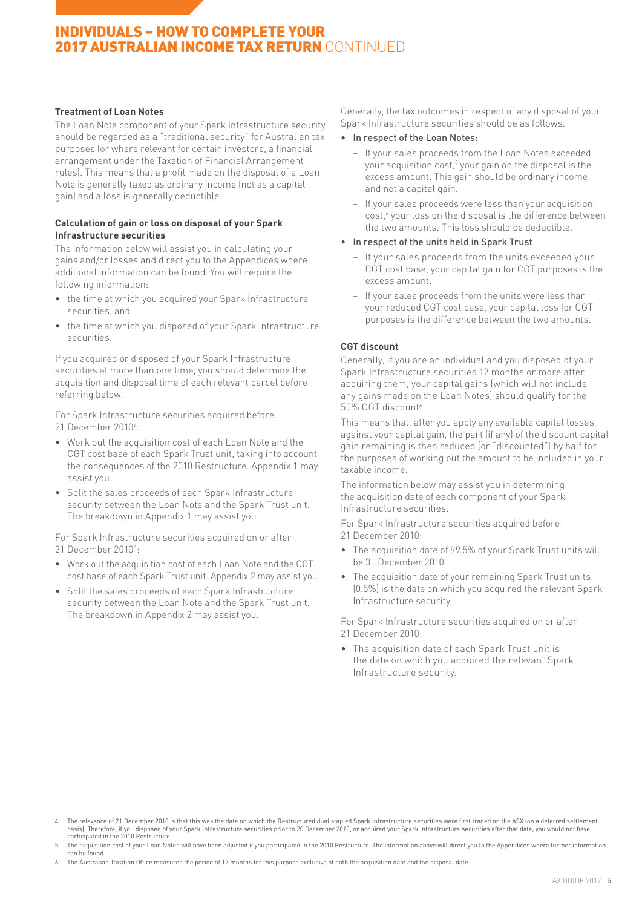## INDIVIDUALS – HOW TO COMPLETE YOUR 2017 AUSTRALIAN INCOME TAX RETURN CONTINUED

### **Treatment of Loan Notes**

The Loan Note component of your Spark Infrastructure security should be regarded as a "traditional security" for Australian tax purposes (or where relevant for certain investors, a financial arrangement under the Taxation of Financial Arrangement rules). This means that a profit made on the disposal of a Loan Note is generally taxed as ordinary income (not as a capital gain) and a loss is generally deductible.

### **Calculation of gain or loss on disposal of your Spark Infrastructure securities**

The information below will assist you in calculating your gains and/or losses and direct you to the Appendices where additional information can be found. You will require the following information:

- the time at which you acquired your Spark Infrastructure securities; and
- the time at which you disposed of your Spark Infrastructure securities.

If you acquired or disposed of your Spark Infrastructure securities at more than one time, you should determine the acquisition and disposal time of each relevant parcel before referring below.

For Spark Infrastructure securities acquired before 21 December 2010<sup>4</sup>:

- Work out the acquisition cost of each Loan Note and the CGT cost base of each Spark Trust unit, taking into account the consequences of the 2010 Restructure. Appendix 1 may assist you.
- Split the sales proceeds of each Spark Infrastructure security between the Loan Note and the Spark Trust unit. The breakdown in Appendix 1 may assist you.

For Spark Infrastructure securities acquired on or after 21 December 2010<sup>4</sup>:

- Work out the acquisition cost of each Loan Note and the CGT cost base of each Spark Trust unit. Appendix 2 may assist you.
- Split the sales proceeds of each Spark Infrastructure security between the Loan Note and the Spark Trust unit. The breakdown in Appendix 2 may assist you.

Generally, the tax outcomes in respect of any disposal of your Spark Infrastructure securities should be as follows:

- • In respect of the Loan Notes:
	- − If your sales proceeds from the Loan Notes exceeded your acquisition cost,5 your gain on the disposal is the excess amount. This gain should be ordinary income and not a capital gain.
	- − If your sales proceeds were less than your acquisition cost,<sup>6</sup> your loss on the disposal is the difference between the two amounts. This loss should be deductible.
- • In respect of the units held in Spark Trust
	- − If your sales proceeds from the units exceeded your CGT cost base, your capital gain for CGT purposes is the excess amount.
	- − If your sales proceeds from the units were less than your reduced CGT cost base, your capital loss for CGT purposes is the difference between the two amounts.

### **CGT discount**

Generally, if you are an individual and you disposed of your Spark Infrastructure securities 12 months or more after acquiring them, your capital gains (which will not include any gains made on the Loan Notes) should qualify for the 50% CGT discount<sup>6</sup>.

This means that, after you apply any available capital losses against your capital gain, the part (if any) of the discount capital gain remaining is then reduced (or "discounted") by half for the purposes of working out the amount to be included in your taxable income.

The information below may assist you in determining the acquisition date of each component of your Spark Infrastructure securities.

For Spark Infrastructure securities acquired before 21 December 2010:

- The acquisition date of 99.5% of your Spark Trust units will be 31 December 2010.
- The acquisition date of your remaining Spark Trust units (0.5%) is the date on which you acquired the relevant Spark Infrastructure security.

For Spark Infrastructure securities acquired on or after 21 December 2010:

• The acquisition date of each Spark Trust unit is the date on which you acquired the relevant Spark Infrastructure security.

<sup>4</sup> The relevance of 21 December 2010 is that this was the date on which the Restructured dual stapled Spark Infrastructure securities were first traded on the ASX (on a deferred settlement<br>basis). Therefore, if you disposed

The acquisition cost of your Loan Notes will have been adjusted if you participated in the 2010 Restructure. The information above will direct you to the Appendices where further information can be found.

<sup>6</sup> The Australian Taxation Office measures the period of 12 months for this purpose exclusive of both the acquisition date and the disposal date.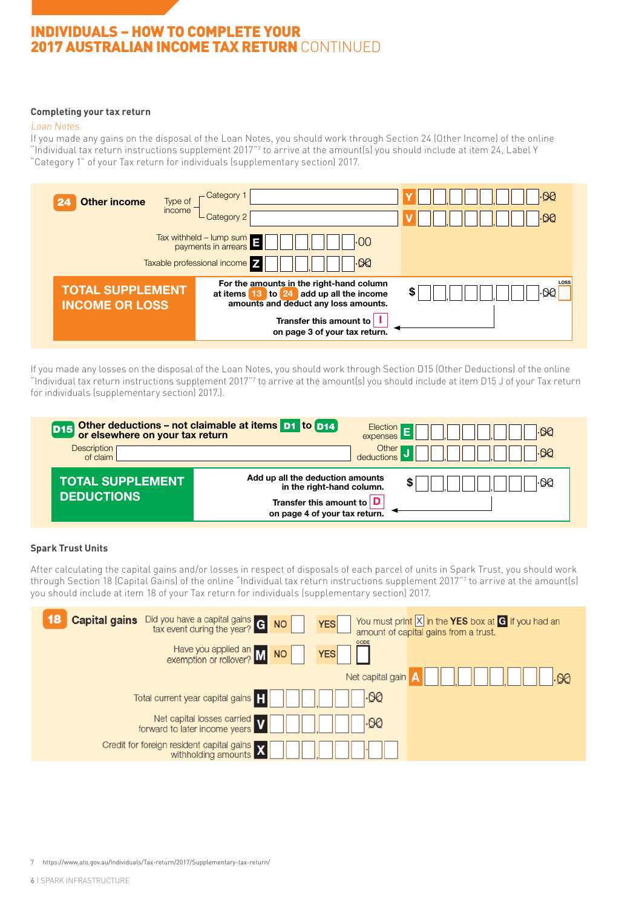## 2017 AUSTRALIAN INCOME TAX RETURN CONTINUED  $\overline{\phantom{a}}$ INDIVIDUALS – HOW TO COMPLETE YOUR

### **Completing your tax return**

### Loan Notes TOTAL SUPPLEMENT SUPPLEMENT SUPPLEMENT SUPPLEMENT SUPPLEMENT SUPPLEMENT SUPPLEMENT SUPPLEMENT SUPPLEMENT SUPPL

toan Notes<br>Loan Notes<br>If you made any gains on the disposal of the Loan Notes, you should work through Section 24 (Other Income) of the online If you made any gains on the disposal of the Loan Notes, you should work through Section 24 (Other Income) of the online<br>"Individual tax return instructions supplement 2017"<sup>7</sup> to arrive at the amount(s) you should include "Category 1" of your Tax return for individuals (supplementary section) 2017.

 $23.5$  Forestry managed in  $\mathcal{L}_2$  , .000  $\mathcal{L}_3$  , .000  $\mathcal{L}_4$  , .000  $\mathcal{L}_5$  , .000  $\mathcal{L}_6$  , .000  $\mathcal{L}_7$  , .000  $\mathcal{L}_8$  , .000  $\mathcal{L}_7$  , .000  $\mathcal{L}_8$  , .000  $\mathcal{L}_7$  , .000  $\mathcal{L}_8$  , .000  $\mathcal{L}_$ 



for individuals (supplementary section) 2017.). If you made any losses on the disposal of the Loan Notes, you should work through Section D15 (Other Deductions) of the online It you made any losses on the disposal of the Loan Notes, you should work through Section D15 (Uther Deductions) of the online<br>"Individual tax return instructions supplement 2017"? to arrive at the amount(s) you should inc annuars supplementally section , 2017...

| <b>D15</b><br><b>Description</b><br>of claim | Other deductions – not claimable at items D1 to D14<br>Election<br>ା90<br>expenses<br>Other<br>$\cdot$ 90<br>deductions                |
|----------------------------------------------|----------------------------------------------------------------------------------------------------------------------------------------|
| <b>TOTAL SUPPLEMENT</b><br><b>DEDUCTIONS</b> | Add up all the deduction amounts<br>۰QQ<br>\$<br>in the right-hand column.<br>Transfer this amount to<br>on page 4 of your tax return. |

#### $\alpha$  Trust Units and  $\alpha$  and  $\alpha$  and  $\alpha$  and  $\alpha$  . On  $\alpha$  , .000  $\alpha$  , .000  $\alpha$  , .000  $\alpha$  , .000  $\alpha$  , .000  $\alpha$  , .000  $\alpha$  , .000  $\alpha$  , .000  $\alpha$  , .000  $\alpha$  , .000  $\alpha$  , .000  $\alpha$  , .000  $\alpha$  , .000  $\alpha$  , **Spark Trust Units** Trust, you should work through Section 18 (Capital Gains) of the online "Individual tax return instructions supplement 2017" to arrive at the amount (s) you should include at item 18 of your Tax return for individuals individuals in the amount of your Tax return for individuals in the amount of your Tax return for individuals in

Other deductions – not claimable at items D1 to D14 , <sup>E</sup> , .00 Election D15 you should include at item 18 of your Tax return for individuals (supplementary section) 2017. After calculating the capital gains and/or losses in respect of disposals of each parcel of units in Spark Trust, you should work<br>(supplementary section) 2017. The contract of the contract of the contract of the contract o TAX RETURN FOR INDIVIDUALS (supplementary section) 2015 Sensitive (when completed) Page 15 through Section 18 (Capital Gains) of the online "Individual tax return instructions supplement 2017"7 to arrive at the amount(s)

| 18<br><b>Capital gains</b><br>Did you have a capital gains at ax event during the year?<br><b>NO</b> | You must print $\boxed{X}$ in the YES box at $\boxed{G}$ if you had an<br><b>YES</b><br>amount of capital gains from a trust. |
|------------------------------------------------------------------------------------------------------|-------------------------------------------------------------------------------------------------------------------------------|
| Have you applied an M<br>exemption or rollover? M<br>NO                                              | CODE<br><b>YES</b>                                                                                                            |
|                                                                                                      | Net capital gain                                                                                                              |
| Total current year capital gains                                                                     | । 90                                                                                                                          |
| Net capital losses carried<br>forward to later income years                                          | .00                                                                                                                           |
| Credit for foreign resident capital gains <b>X</b><br>withholding amounts                            |                                                                                                                               |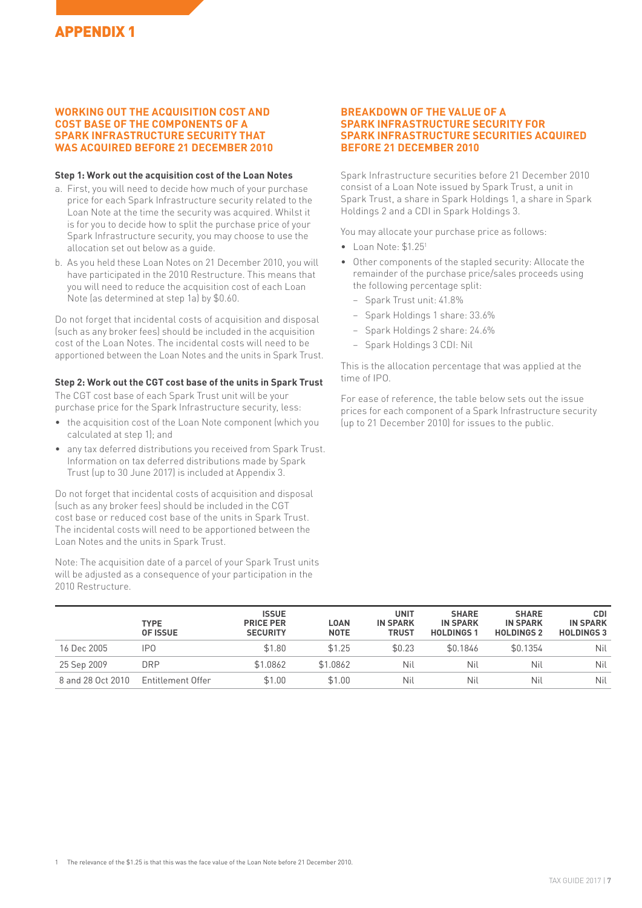### **WORKING OUT THE ACQUISITION COST AND COST BASE OF THE COMPONENTS OF A SPARK INFRASTRUCTURE SECURITY THAT WAS ACQUIRED BEFORE 21 DECEMBER 2010**

### **Step 1: Work out the acquisition cost of the Loan Notes**

- a. First, you will need to decide how much of your purchase price for each Spark Infrastructure security related to the Loan Note at the time the security was acquired. Whilst it is for you to decide how to split the purchase price of your Spark Infrastructure security, you may choose to use the allocation set out below as a guide.
- b. As you held these Loan Notes on 21 December 2010, you will have participated in the 2010 Restructure. This means that you will need to reduce the acquisition cost of each Loan Note (as determined at step 1a) by \$0.60.

Do not forget that incidental costs of acquisition and disposal (such as any broker fees) should be included in the acquisition cost of the Loan Notes. The incidental costs will need to be apportioned between the Loan Notes and the units in Spark Trust.

### **Step 2: Work out the CGT cost base of the units in Spark Trust**

The CGT cost base of each Spark Trust unit will be your purchase price for the Spark Infrastructure security, less:

- the acquisition cost of the Loan Note component (which you calculated at step 1); and
- any tax deferred distributions you received from Spark Trust. Information on tax deferred distributions made by Spark Trust (up to 30 June 2017) is included at Appendix 3.

Do not forget that incidental costs of acquisition and disposal (such as any broker fees) should be included in the CGT cost base or reduced cost base of the units in Spark Trust. The incidental costs will need to be apportioned between the Loan Notes and the units in Spark Trust.

Note: The acquisition date of a parcel of your Spark Trust units will be adjusted as a consequence of your participation in the 2010 Restructure.

### **BREAKDOWN OF THE VALUE OF A SPARK INFRASTRUCTURE SECURITY FOR SPARK INFRASTRUCTURE SECURITIES ACQUIRED BEFORE 21 DECEMBER 2010**

Spark Infrastructure securities before 21 December 2010 consist of a Loan Note issued by Spark Trust, a unit in Spark Trust, a share in Spark Holdings 1, a share in Spark Holdings 2 and a CDI in Spark Holdings 3.

You may allocate your purchase price as follows:

- Loan Note: \$1.251
- Other components of the stapled security: Allocate the remainder of the purchase price/sales proceeds using the following percentage split:
	- − Spark Trust unit: 41.8%
	- − Spark Holdings 1 share: 33.6%
	- − Spark Holdings 2 share: 24.6%
	- − Spark Holdings 3 CDI: Nil

This is the allocation percentage that was applied at the time of IPO.

For ease of reference, the table below sets out the issue prices for each component of a Spark Infrastructure security (up to 21 December 2010) for issues to the public.

|                   | <b>TYPE</b><br><b>OF ISSUE</b> | <b>ISSUE</b><br><b>PRICE PER</b><br><b>SECURITY</b> | <b>LOAN</b><br><b>NOTE</b> | <b>UNIT</b><br><b>IN SPARK</b><br><b>TRUST</b> | <b>SHARE</b><br><b>IN SPARK</b><br><b>HOLDINGS1</b> | <b>SHARE</b><br><b>IN SPARK</b><br><b>HOLDINGS 2</b> | <b>CDI</b><br><b>IN SPARK</b><br><b>HOLDINGS 3</b> |
|-------------------|--------------------------------|-----------------------------------------------------|----------------------------|------------------------------------------------|-----------------------------------------------------|------------------------------------------------------|----------------------------------------------------|
| 16 Dec 2005       | IP0                            | \$1.80                                              | \$1.25                     | \$0.23                                         | \$0.1846                                            | \$0.1354                                             | Nil                                                |
| 25 Sep 2009       | <b>DRP</b>                     | \$1.0862                                            | \$1.0862                   | Nil                                            | Nil                                                 | Nil                                                  | Nil                                                |
| 8 and 28 Oct 2010 | Entitlement Offer              | \$1.00                                              | \$1.00                     | Nil                                            | Nil                                                 | Nil                                                  | Nil                                                |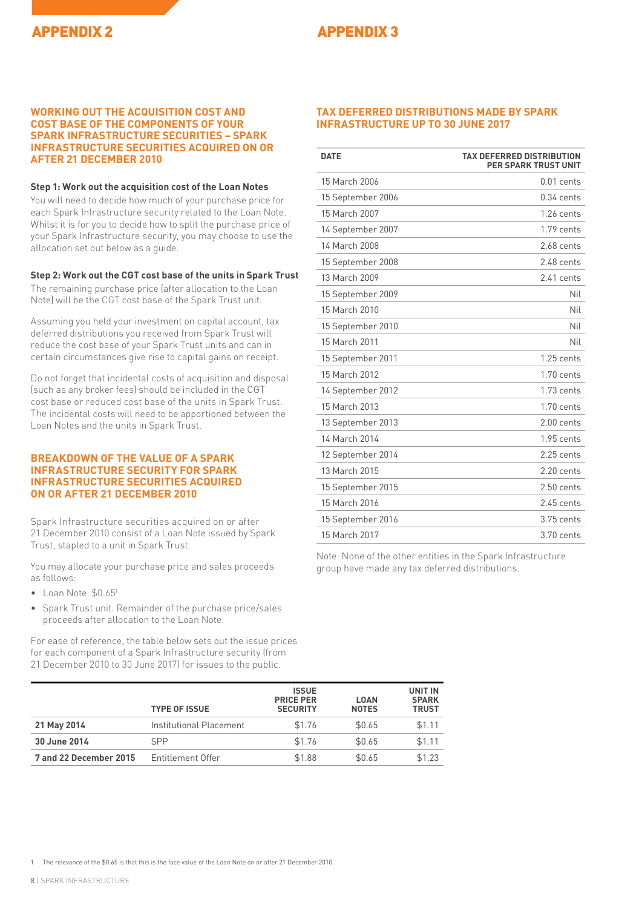## APPENDIX 2 APPENDIX 3

### **WORKING OUT THE ACQUISITION COST AND COST BASE OF THE COMPONENTS OF YOUR SPARK INFRASTRUCTURE SECURITIES – SPARK INFRASTRUCTURE SECURITIES ACQUIRED ON OR AFTER 21 DECEMBER 2010**

### **Step 1: Work out the acquisition cost of the Loan Notes**

You will need to decide how much of your purchase price for each Spark Infrastructure security related to the Loan Note. Whilst it is for you to decide how to split the purchase price of your Spark Infrastructure security, you may choose to use the allocation set out below as a guide.

### **Step 2: Work out the CGT cost base of the units in Spark Trust**

The remaining purchase price (after allocation to the Loan Note) will be the CGT cost base of the Spark Trust unit.

Assuming you held your investment on capital account, tax deferred distributions you received from Spark Trust will reduce the cost base of your Spark Trust units and can in certain circumstances give rise to capital gains on receipt.

Do not forget that incidental costs of acquisition and disposal (such as any broker fees) should be included in the CGT cost base or reduced cost base of the units in Spark Trust. The incidental costs will need to be apportioned between the Loan Notes and the units in Spark Trust.

### **BREAKDOWN OF THE VALUE OF A SPARK INFRASTRUCTURE SECURITY FOR SPARK INFRASTRUCTURE SECURITIES ACQUIRED ON OR AFTER 21 DECEMBER 2010**

Spark Infrastructure securities acquired on or after 21 December 2010 consist of a Loan Note issued by Spark Trust, stapled to a unit in Spark Trust.

You may allocate your purchase price and sales proceeds as follows:

- Loan Note: \$0.651
- Spark Trust unit: Remainder of the purchase price/sales proceeds after allocation to the Loan Note.

For ease of reference, the table below sets out the issue prices for each component of a Spark Infrastructure security (from 21 December 2010 to 30 June 2017) for issues to the public.

### **TAX DEFERRED DISTRIBUTIONS MADE BY SPARK INFRASTRUCTURE UP TO 30 JUNE 2017**

| <b>DATE</b>       | <b>TAX DEFERRED DISTRIBUTION</b><br><b>PER SPARK TRUST UNIT</b> |
|-------------------|-----------------------------------------------------------------|
| 15 March 2006     | $0.01$ cents                                                    |
| 15 September 2006 | $0.34$ cents                                                    |
| 15 March 2007     | $1.26$ cents                                                    |
| 14 September 2007 | 1.79 cents                                                      |
| 14 March 2008     | 2.68 cents                                                      |
| 15 September 2008 | $2.48$ cents                                                    |
| 13 March 2009     | 2.41 cents                                                      |
| 15 September 2009 | Nil                                                             |
| 15 March 2010     | Nil                                                             |
| 15 September 2010 | Nil                                                             |
| 15 March 2011     | Nil                                                             |
| 15 September 2011 | $1.25$ cents                                                    |
| 15 March 2012     | $1.70$ cents                                                    |
| 14 September 2012 | $1.73$ cents                                                    |
| 15 March 2013     | 1.70 cents                                                      |
| 13 September 2013 | $2.00$ cents                                                    |
| 14 March 2014     | $1.95$ cents                                                    |
| 12 September 2014 | $2.25$ cents                                                    |
| 13 March 2015     | $2.20$ cents                                                    |
| 15 September 2015 | $2.50$ cents                                                    |
| 15 March 2016     | $2.45$ cents                                                    |
| 15 September 2016 | 3.75 cents                                                      |
| 15 March 2017     | 3.70 cents                                                      |

Note: None of the other entities in the Spark Infrastructure group have made any tax deferred distributions.

|                        | <b>TYPE OF ISSUE</b>    | <b>ISSUE</b><br><b>PRICE PER</b><br><b>SECURITY</b> | <b>LOAN</b><br><b>NOTES</b> | UNIT IN<br><b>SPARK</b><br><b>TRUST</b> |
|------------------------|-------------------------|-----------------------------------------------------|-----------------------------|-----------------------------------------|
| 21 May 2014            | Institutional Placement | \$1.76                                              | \$0.65                      | \$1.11                                  |
| 30 June 2014           | <b>SPP</b>              | \$1.76                                              | \$0.65                      | \$1.11                                  |
| 7 and 22 December 2015 | Entitlement Offer       | \$1.88                                              | \$0.65                      | \$1.23                                  |

1 The relevance of the \$0.65 is that this is the face value of the Loan Note on or after 21 December 2010.